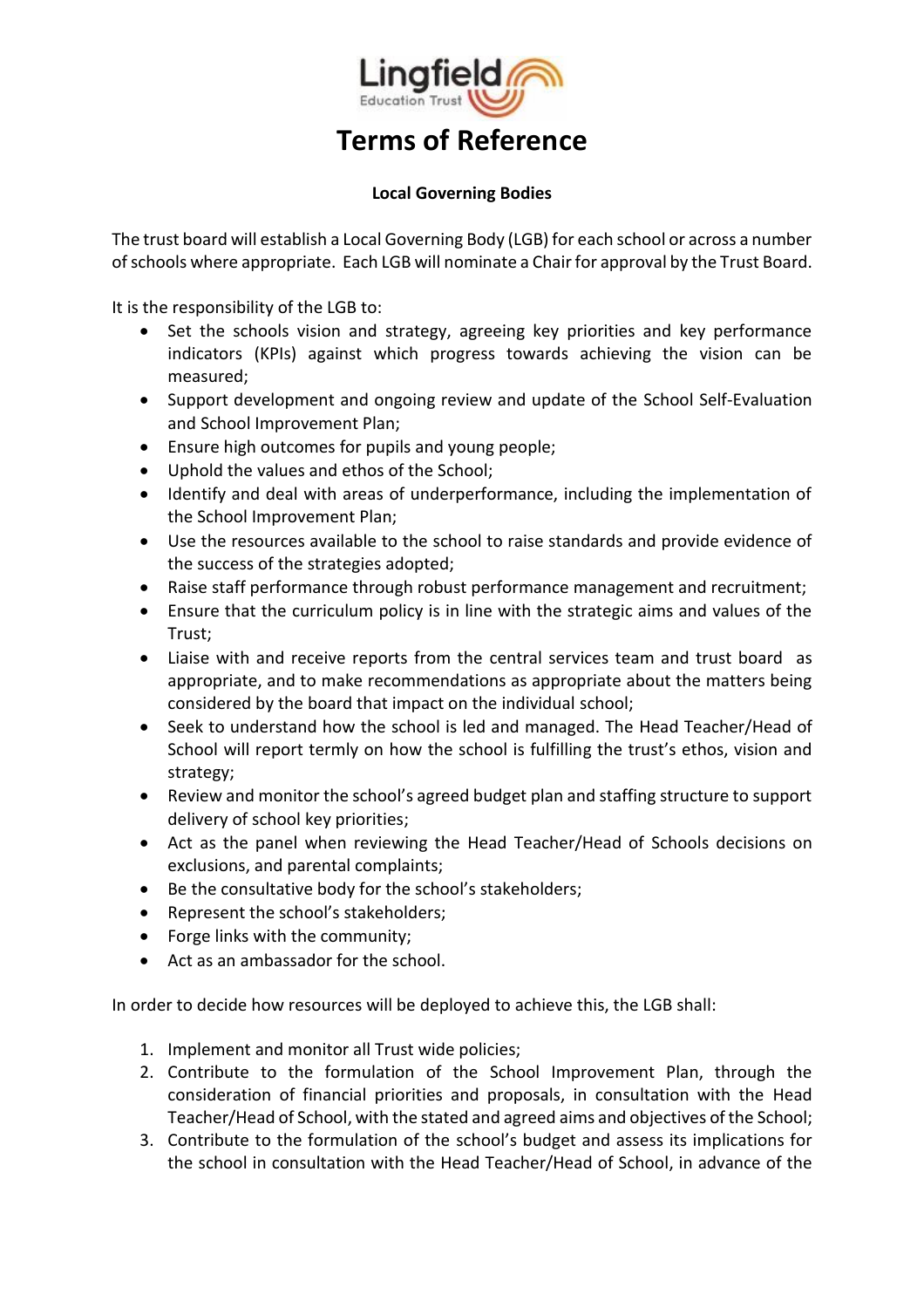

## **Local Governing Bodies**

The trust board will establish a Local Governing Body (LGB) for each school or across a number of schools where appropriate. Each LGB will nominate a Chair for approval by the Trust Board.

It is the responsibility of the LGB to:

- Set the schools vision and strategy, agreeing key priorities and key performance indicators (KPIs) against which progress towards achieving the vision can be measured;
- Support development and ongoing review and update of the School Self-Evaluation and School Improvement Plan;
- Ensure high outcomes for pupils and young people;
- Uphold the values and ethos of the School;
- Identify and deal with areas of underperformance, including the implementation of the School Improvement Plan;
- Use the resources available to the school to raise standards and provide evidence of the success of the strategies adopted;
- Raise staff performance through robust performance management and recruitment;
- Ensure that the curriculum policy is in line with the strategic aims and values of the Trust;
- Liaise with and receive reports from the central services team and trust board as appropriate, and to make recommendations as appropriate about the matters being considered by the board that impact on the individual school;
- Seek to understand how the school is led and managed. The Head Teacher/Head of School will report termly on how the school is fulfilling the trust's ethos, vision and strategy;
- Review and monitor the school's agreed budget plan and staffing structure to support delivery of school key priorities;
- Act as the panel when reviewing the Head Teacher/Head of Schools decisions on exclusions, and parental complaints;
- Be the consultative body for the school's stakeholders;
- Represent the school's stakeholders;
- Forge links with the community;
- Act as an ambassador for the school.

In order to decide how resources will be deployed to achieve this, the LGB shall:

- 1. Implement and monitor all Trust wide policies;
- 2. Contribute to the formulation of the School Improvement Plan, through the consideration of financial priorities and proposals, in consultation with the Head Teacher/Head of School, with the stated and agreed aims and objectives of the School;
- 3. Contribute to the formulation of the school's budget and assess its implications for the school in consultation with the Head Teacher/Head of School, in advance of the